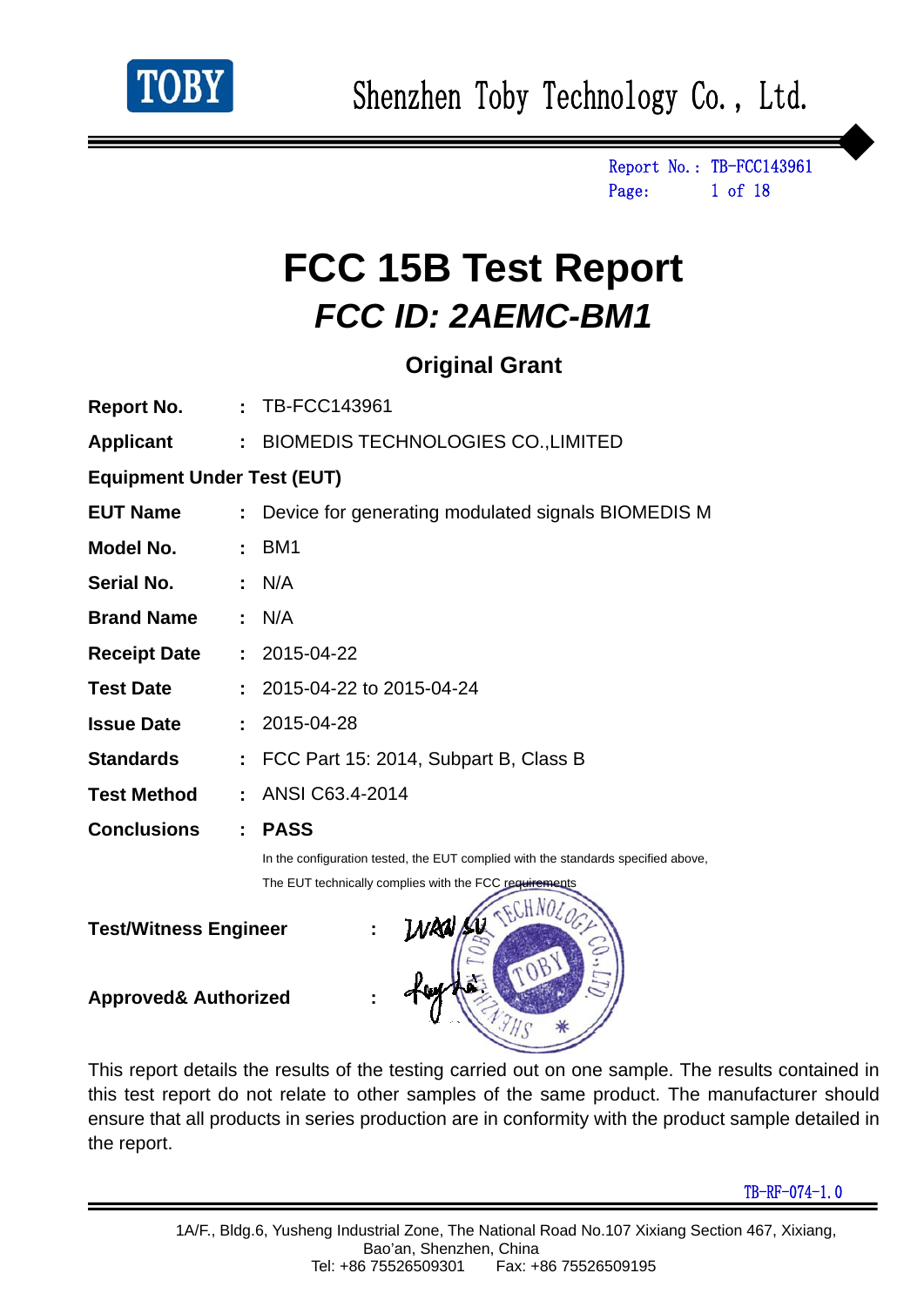

Report No.: TB-FCC143961 Page: 1 of 18

# **FCC 15B Test Report**  *FCC ID: 2AEMC-BM1*

### **Original Grant**

| <b>Report No.</b>                 |    | : TB-FCC143961                                                                    |
|-----------------------------------|----|-----------------------------------------------------------------------------------|
| <b>Applicant</b>                  |    | : BIOMEDIS TECHNOLOGIES CO., LIMITED                                              |
| <b>Equipment Under Test (EUT)</b> |    |                                                                                   |
| <b>EUT Name</b>                   |    | : Device for generating modulated signals BIOMEDIS M                              |
| Model No.                         |    | BM <sub>1</sub>                                                                   |
| Serial No.                        |    | $\cdot$ N/A                                                                       |
| <b>Brand Name</b>                 |    | : N/A                                                                             |
| <b>Receipt Date</b>               |    | $: 2015 - 04 - 22$                                                                |
| <b>Test Date</b>                  |    | $: 2015 - 04 - 22$ to 2015-04-24                                                  |
| <b>Issue Date</b>                 |    | $: 2015 - 04 - 28$                                                                |
| <b>Standards</b>                  |    | : FCC Part 15: 2014, Subpart B, Class B                                           |
| <b>Test Method</b>                | ÷. | ANSI C63.4-2014                                                                   |
| <b>Conclusions</b>                |    | : PASS                                                                            |
|                                   |    | In the configuration tested, the EUT complied with the standards specified above, |
|                                   |    | The EUT technically complies with the FCC requirements                            |
| <b>Test/Witness Engineer</b>      |    | <b>LANGEL AND RECHNOLO</b>                                                        |

**Approved& Authorized :** 



This report details the results of the testing carried out on one sample. The results contained in this test report do not relate to other samples of the same product. The manufacturer should ensure that all products in series production are in conformity with the product sample detailed in the report.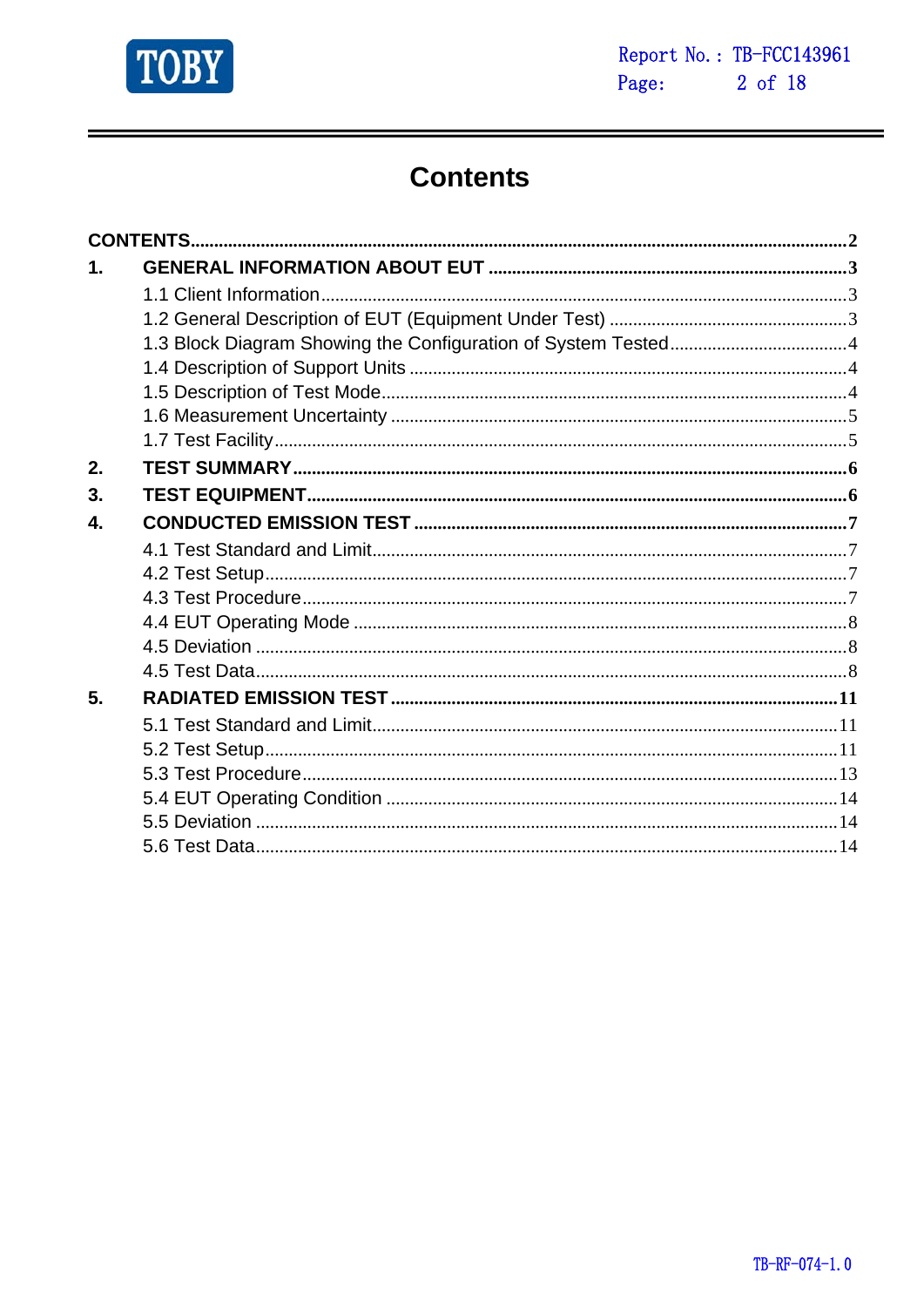

# **Contents**

| 1. |  |
|----|--|
|    |  |
|    |  |
|    |  |
|    |  |
|    |  |
|    |  |
|    |  |
| 2. |  |
| 3. |  |
| 4. |  |
|    |  |
|    |  |
|    |  |
|    |  |
|    |  |
|    |  |
| 5. |  |
|    |  |
|    |  |
|    |  |
|    |  |
|    |  |
|    |  |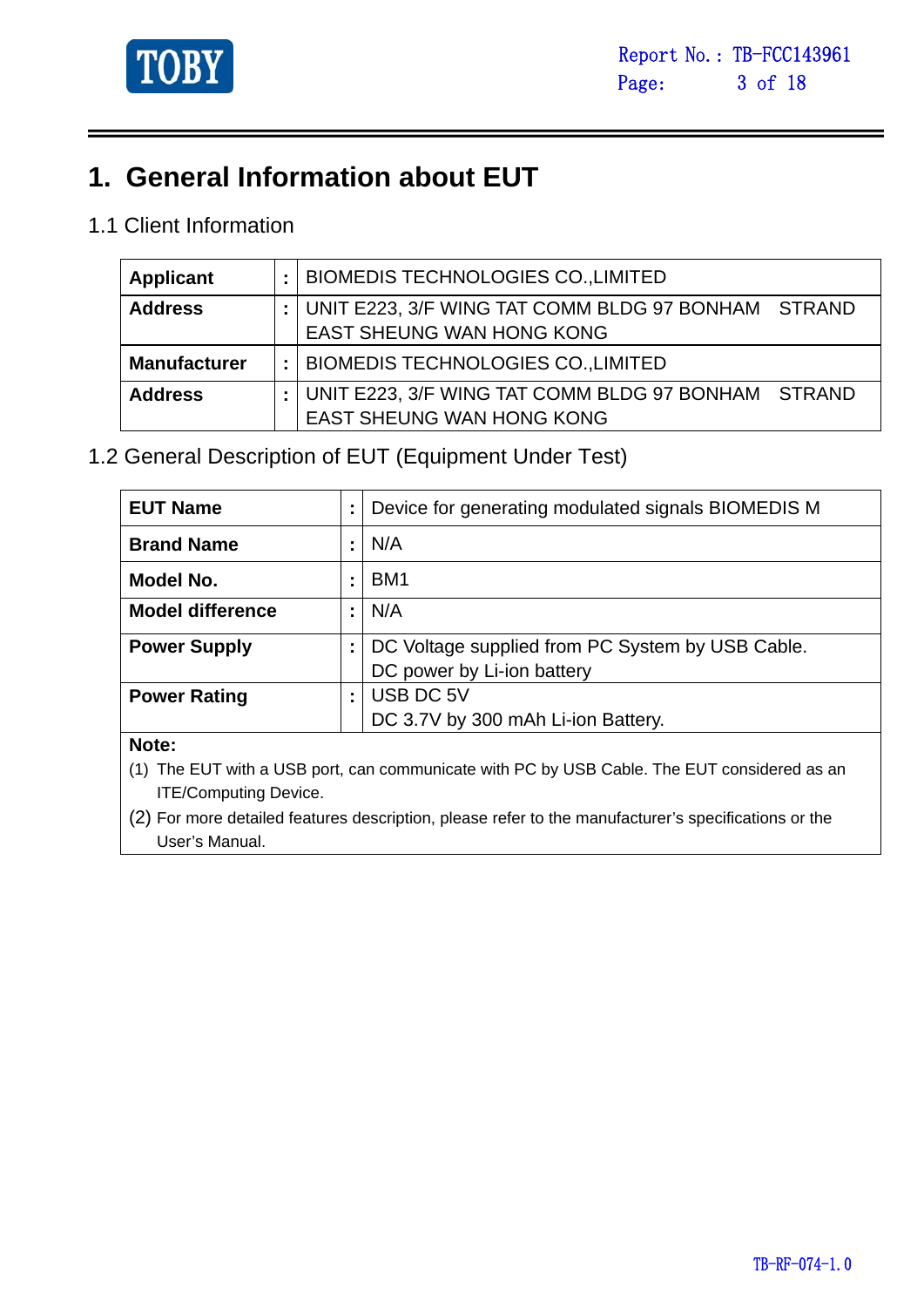

# **1. General Information about EUT**

### 1.1 Client Information

| <b>Applicant</b>    | ÷ | BIOMEDIS TECHNOLOGIES CO.,LIMITED                                                      |  |
|---------------------|---|----------------------------------------------------------------------------------------|--|
| <b>Address</b>      |   | UNIT E223, 3/F WING TAT COMM BLDG 97 BONHAM STRAND<br><b>EAST SHEUNG WAN HONG KONG</b> |  |
| <b>Manufacturer</b> | ÷ | BIOMEDIS TECHNOLOGIES CO.,LIMITED                                                      |  |
| <b>Address</b>      |   | UNIT E223, 3/F WING TAT COMM BLDG 97 BONHAM STRAND<br><b>EAST SHEUNG WAN HONG KONG</b> |  |

### 1.2 General Description of EUT (Equipment Under Test)

| <b>EUT Name</b>         |              | Device for generating modulated signals BIOMEDIS M |
|-------------------------|--------------|----------------------------------------------------|
| <b>Brand Name</b>       |              | N/A                                                |
| Model No.               |              | BM <sub>1</sub>                                    |
| <b>Model difference</b> |              | N/A                                                |
| <b>Power Supply</b>     |              | DC Voltage supplied from PC System by USB Cable.   |
|                         |              | DC power by Li-ion battery                         |
| <b>Power Rating</b>     | $\mathbf{L}$ | USB DC 5V                                          |
|                         |              | DC 3.7V by 300 mAh Li-ion Battery.                 |
|                         |              |                                                    |

#### **Note:**

- (1) The EUT with a USB port, can communicate with PC by USB Cable. The EUT considered as an ITE/Computing Device.
- (2) For more detailed features description, please refer to the manufacturer's specifications or the User's Manual.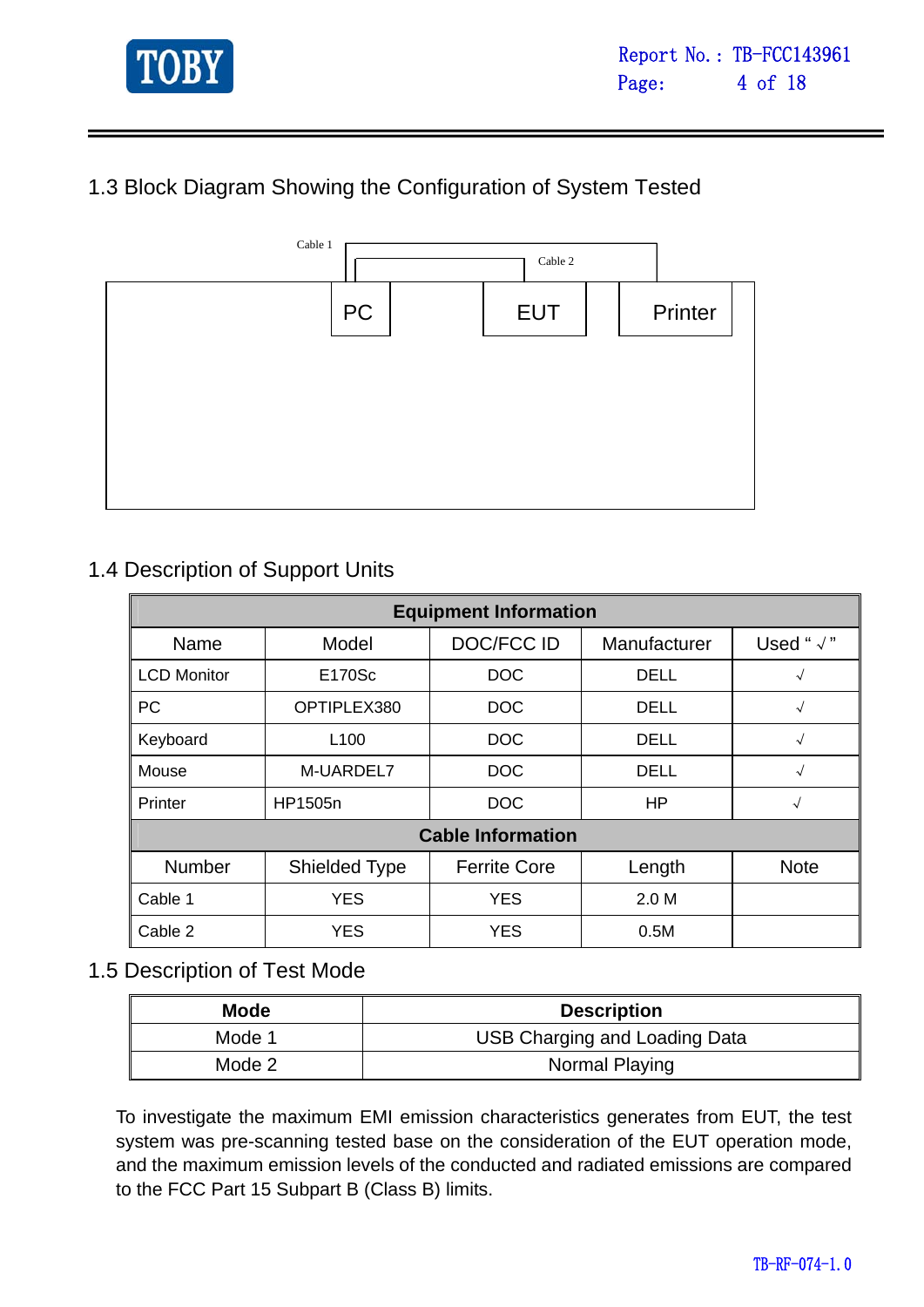

### 1.3 Block Diagram Showing the Configuration of System Tested



### 1.4 Description of Support Units

| <b>Equipment Information</b> |                  |                     |              |                     |  |  |  |
|------------------------------|------------------|---------------------|--------------|---------------------|--|--|--|
| Name                         | Model            | <b>DOC/FCC ID</b>   | Manufacturer | Used " $\sqrt{ }$ " |  |  |  |
| <b>LCD Monitor</b>           | E170Sc           | <b>DOC</b>          | <b>DELL</b>  | $\sqrt{ }$          |  |  |  |
| <b>PC</b>                    | OPTIPLEX380      | <b>DOC</b>          | <b>DELL</b>  | $\sqrt{ }$          |  |  |  |
| Keyboard                     | L <sub>100</sub> | <b>DOC</b>          | DELL         | $\sqrt{ }$          |  |  |  |
| Mouse                        | M-UARDEL7        | <b>DOC</b>          | <b>DELL</b>  | $\sqrt{ }$          |  |  |  |
| Printer                      | HP1505n          | <b>DOC</b>          | <b>HP</b>    | $\sqrt{}$           |  |  |  |
| <b>Cable Information</b>     |                  |                     |              |                     |  |  |  |
| Number                       | Shielded Type    | <b>Ferrite Core</b> | Length       | <b>Note</b>         |  |  |  |
| Cable 1                      | <b>YES</b>       | <b>YES</b>          | 2.0 M        |                     |  |  |  |
| Cable 2                      | <b>YES</b>       | <b>YES</b>          | 0.5M         |                     |  |  |  |

### 1.5 Description of Test Mode

| <b>Mode</b> | <b>Description</b>            |
|-------------|-------------------------------|
| Mode 1      | USB Charging and Loading Data |
| Mode 2      | Normal Playing                |

To investigate the maximum EMI emission characteristics generates from EUT, the test system was pre-scanning tested base on the consideration of the EUT operation mode, and the maximum emission levels of the conducted and radiated emissions are compared to the FCC Part 15 Subpart B (Class B) limits.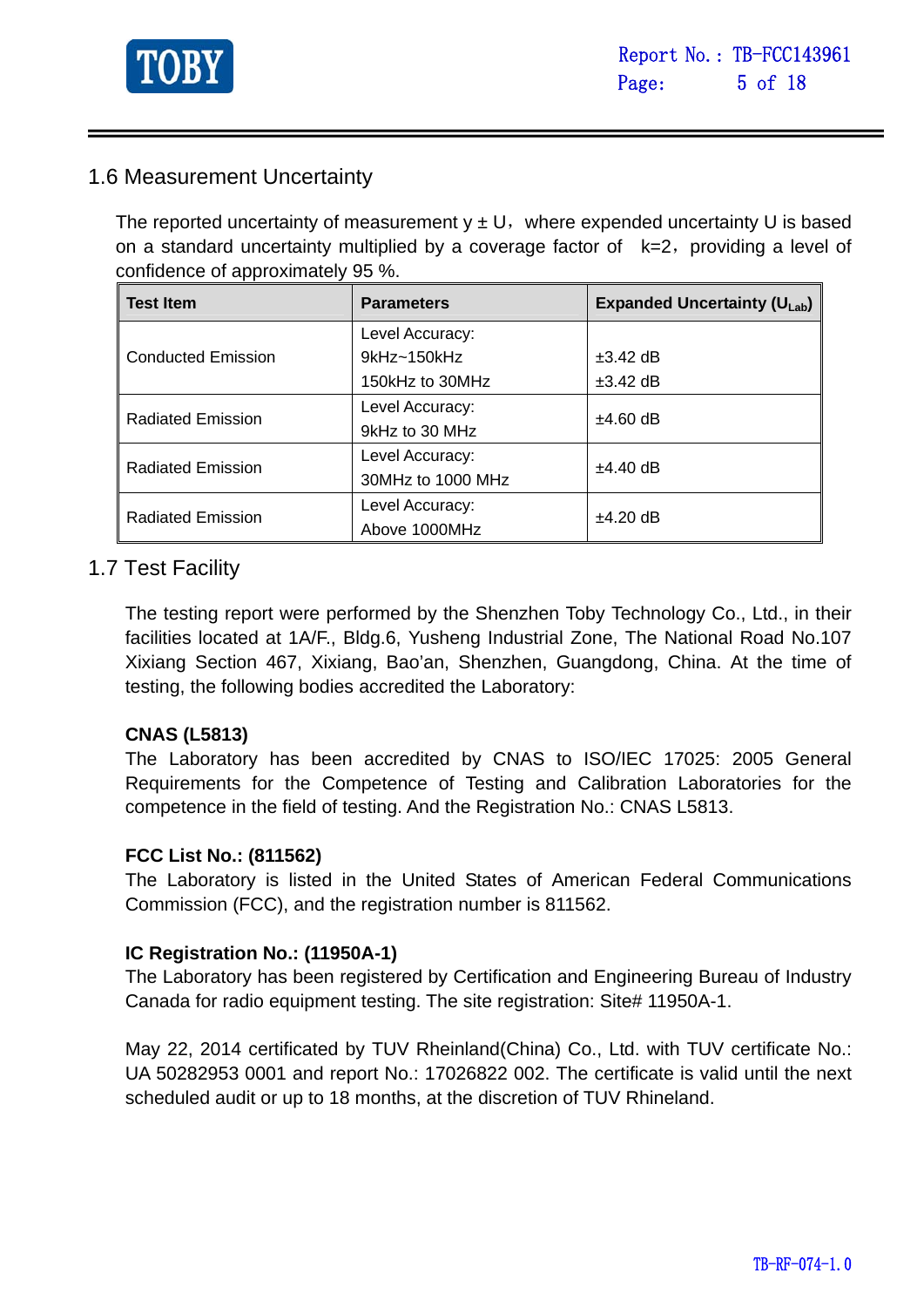

### 1.6 Measurement Uncertainty

The reported uncertainty of measurement  $y \pm U$ , where expended uncertainty U is based on a standard uncertainty multiplied by a coverage factor of  $k=2$ , providing a level of confidence of approximately 95 %.

| <b>Test Item</b>          | <b>Parameters</b> | <b>Expanded Uncertainty (ULab)</b> |  |
|---------------------------|-------------------|------------------------------------|--|
|                           | Level Accuracy:   |                                    |  |
| <b>Conducted Emission</b> | 9kHz~150kHz       | $\pm 3.42$ dB                      |  |
|                           | 150kHz to 30MHz   | $\pm 3.42$ dB                      |  |
| <b>Radiated Emission</b>  | Level Accuracy:   | $±4.60$ dB                         |  |
|                           | 9kHz to 30 MHz    |                                    |  |
| <b>Radiated Emission</b>  | Level Accuracy:   | $±4.40$ dB                         |  |
|                           | 30MHz to 1000 MHz |                                    |  |
| <b>Radiated Emission</b>  | Level Accuracy:   | $±4.20$ dB                         |  |
|                           | Above 1000MHz     |                                    |  |

### 1.7 Test Facility

The testing report were performed by the Shenzhen Toby Technology Co., Ltd., in their facilities located at 1A/F., Bldg.6, Yusheng Industrial Zone, The National Road No.107 Xixiang Section 467, Xixiang, Bao'an, Shenzhen, Guangdong, China. At the time of testing, the following bodies accredited the Laboratory:

#### **CNAS (L5813)**

The Laboratory has been accredited by CNAS to ISO/IEC 17025: 2005 General Requirements for the Competence of Testing and Calibration Laboratories for the competence in the field of testing. And the Registration No.: CNAS L5813.

#### **FCC List No.: (811562)**

The Laboratory is listed in the United States of American Federal Communications Commission (FCC), and the registration number is 811562.

#### **IC Registration No.: (11950A-1)**

The Laboratory has been registered by Certification and Engineering Bureau of Industry Canada for radio equipment testing. The site registration: Site# 11950A-1.

May 22, 2014 certificated by TUV Rheinland(China) Co., Ltd. with TUV certificate No.: UA 50282953 0001 and report No.: 17026822 002. The certificate is valid until the next scheduled audit or up to 18 months, at the discretion of TUV Rhineland.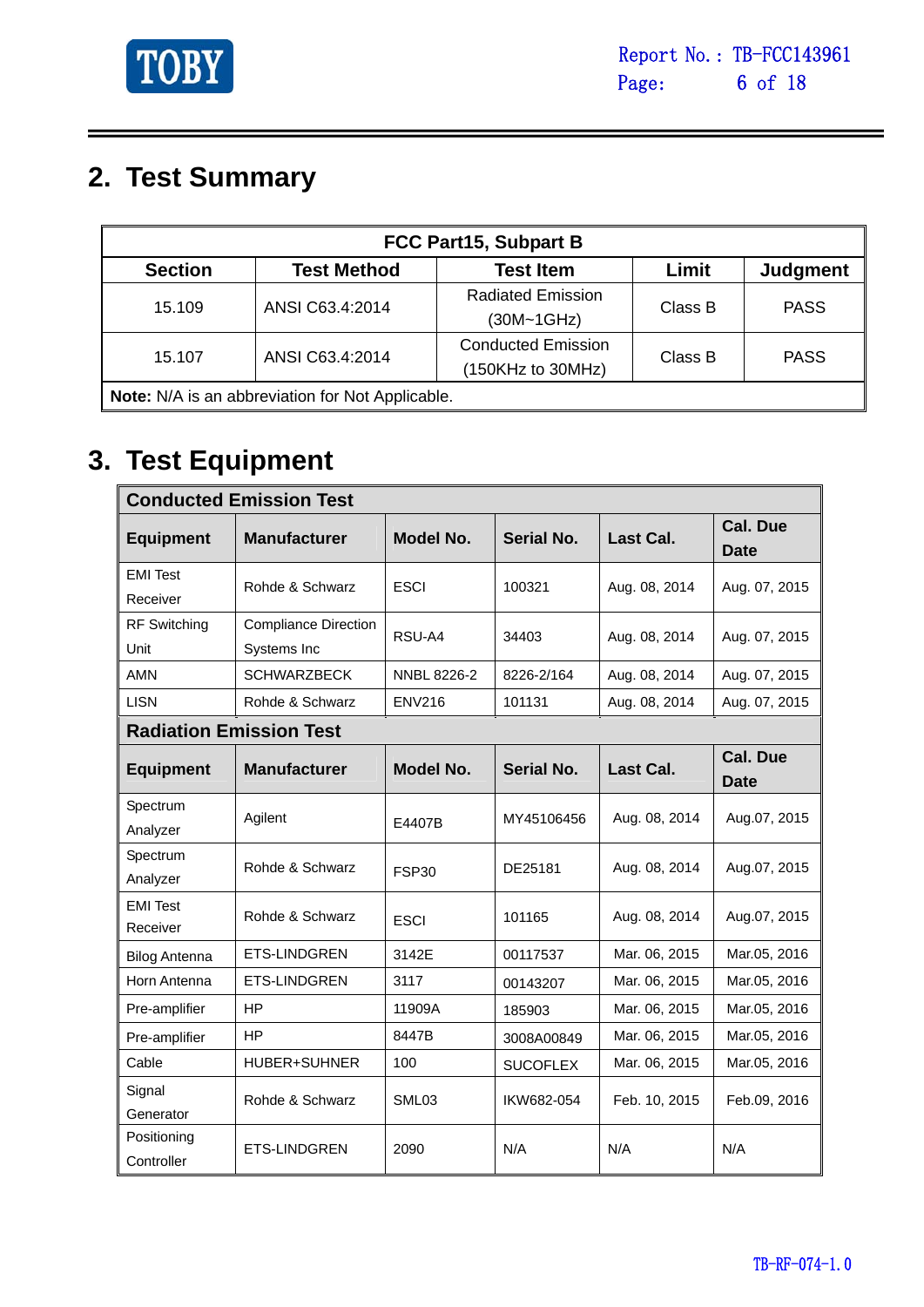

# **2. Test Summary**

| FCC Part15, Subpart B |                                                  |                                                |         |                 |  |  |  |
|-----------------------|--------------------------------------------------|------------------------------------------------|---------|-----------------|--|--|--|
| <b>Section</b>        | <b>Test Method</b>                               | <b>Test Item</b>                               | Limit   | <b>Judgment</b> |  |  |  |
| 15.109                | ANSI C63.4:2014                                  | <b>Radiated Emission</b><br>$(30M-1GHz)$       | Class B | <b>PASS</b>     |  |  |  |
| 15.107                | ANSI C63.4:2014                                  | <b>Conducted Emission</b><br>(150KHz to 30MHz) | Class B | <b>PASS</b>     |  |  |  |
|                       | Note: N/A is an abbreviation for Not Applicable. |                                                |         |                 |  |  |  |

# **3. Test Equipment**

| <b>Conducted Emission Test</b> |                                            |                         |                   |                  |                                |
|--------------------------------|--------------------------------------------|-------------------------|-------------------|------------------|--------------------------------|
| <b>Equipment</b>               | <b>Manufacturer</b>                        | Model No.<br>Serial No. |                   | <b>Last Cal.</b> | <b>Cal. Due</b><br><b>Date</b> |
| <b>EMI</b> Test<br>Receiver    | Rohde & Schwarz                            | <b>ESCI</b>             | 100321            | Aug. 08, 2014    | Aug. 07, 2015                  |
| <b>RF Switching</b><br>Unit    | <b>Compliance Direction</b><br>Systems Inc | RSU-A4                  | 34403             | Aug. 08, 2014    | Aug. 07, 2015                  |
| <b>AMN</b>                     | <b>SCHWARZBECK</b>                         | NNBL 8226-2             | 8226-2/164        | Aug. 08, 2014    | Aug. 07, 2015                  |
| <b>LISN</b>                    | Rohde & Schwarz                            | <b>ENV216</b>           | 101131            | Aug. 08, 2014    | Aug. 07, 2015                  |
| <b>Radiation Emission Test</b> |                                            |                         |                   |                  |                                |
| <b>Equipment</b>               | <b>Manufacturer</b>                        | <b>Model No.</b>        | <b>Serial No.</b> | Last Cal.        | <b>Cal. Due</b><br><b>Date</b> |
| Spectrum<br>Analyzer           | Agilent                                    | E4407B                  | MY45106456        | Aug. 08, 2014    | Aug.07, 2015                   |
| Spectrum<br>Analyzer           | Rohde & Schwarz                            | FSP30                   | DE25181           | Aug. 08, 2014    | Aug.07, 2015                   |
| <b>FMI Test</b><br>Receiver    | Rohde & Schwarz                            | <b>ESCI</b>             | 101165            | Aug. 08, 2014    | Aug.07, 2015                   |
| <b>Bilog Antenna</b>           | <b>ETS-LINDGREN</b>                        | 3142E                   | 00117537          | Mar. 06, 2015    | Mar.05, 2016                   |
| Horn Antenna                   | ETS-LINDGREN                               | 3117                    | 00143207          | Mar. 06, 2015    | Mar.05, 2016                   |
| Pre-amplifier                  | ΗP                                         | 11909A                  | 185903            | Mar. 06, 2015    | Mar.05, 2016                   |
| Pre-amplifier                  | <b>HP</b>                                  | 8447B                   | 3008A00849        | Mar. 06, 2015    | Mar.05, 2016                   |
| Cable                          | <b>HUBER+SUHNER</b>                        | 100                     | <b>SUCOFLEX</b>   | Mar. 06, 2015    | Mar.05, 2016                   |
| Signal<br>Generator            | Rohde & Schwarz                            | SML03                   | IKW682-054        | Feb. 10, 2015    | Feb.09, 2016                   |
| Positioning<br>Controller      | ETS-LINDGREN                               | 2090                    | N/A               | N/A              | N/A                            |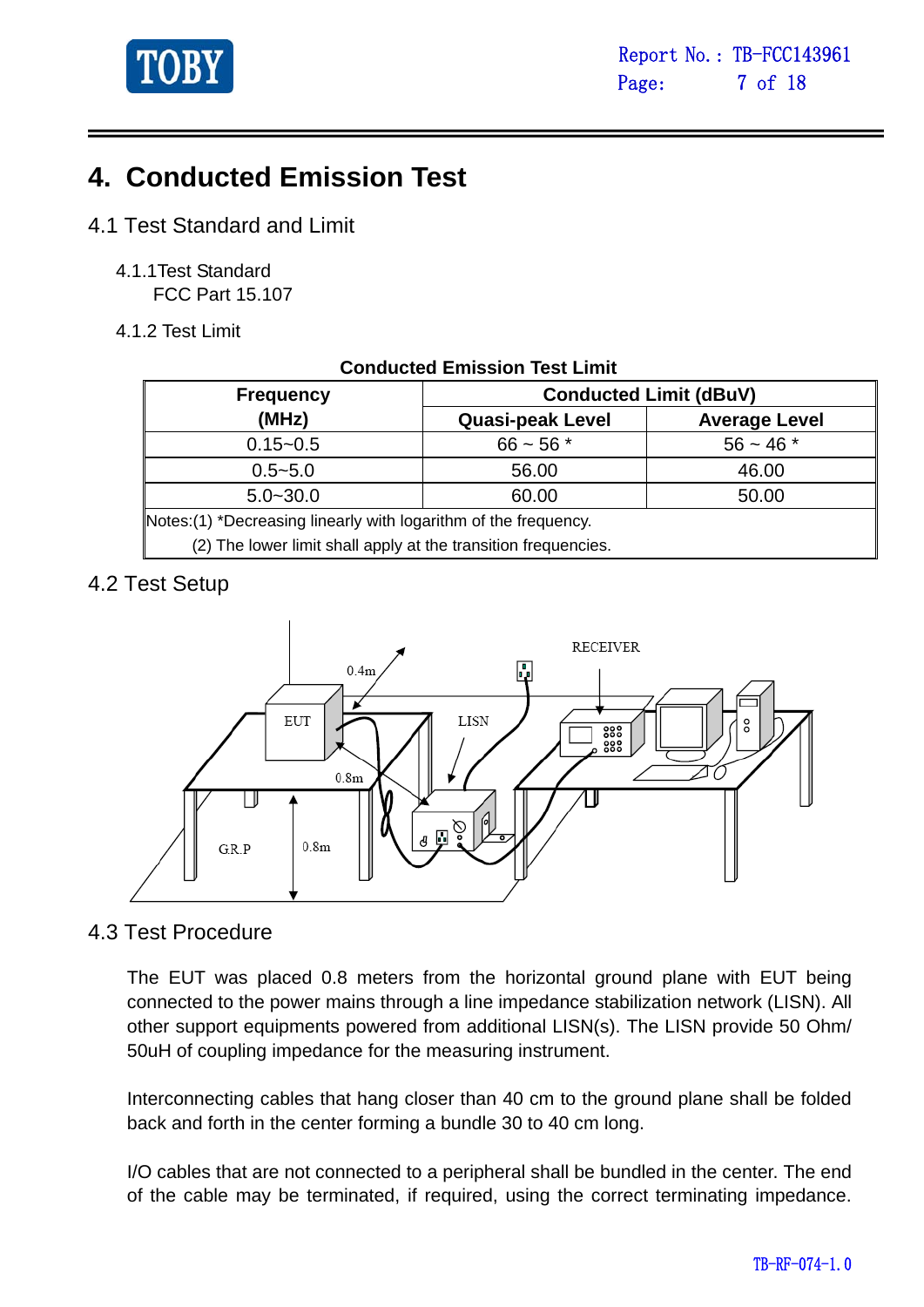

# **4. Conducted Emission Test**

- 4.1 Test Standard and Limit
	- 4.1.1Test Standard FCC Part 15.107
	- 4.1.2 Test Limit

| OUNUUCLEU ENNOSION TESL ENNIL                                   |                               |                      |  |  |  |  |
|-----------------------------------------------------------------|-------------------------------|----------------------|--|--|--|--|
| <b>Frequency</b>                                                | <b>Conducted Limit (dBuV)</b> |                      |  |  |  |  |
| (MHz)                                                           | <b>Quasi-peak Level</b>       | <b>Average Level</b> |  |  |  |  |
| $0.15 - 0.5$                                                    | $66 - 56$ *                   | $56 - 46$ *          |  |  |  |  |
| $0.5 - 5.0$                                                     | 56.00                         | 46.00                |  |  |  |  |
| $5.0 - 30.0$                                                    | 60.00                         | 50.00                |  |  |  |  |
| Notes:(1) *Decreasing linearly with logarithm of the frequency. |                               |                      |  |  |  |  |
| (2) The lower limit shall apply at the transition frequencies.  |                               |                      |  |  |  |  |

### **Conducted Emission Test Limit**

### 4.2 Test Setup



### 4.3 Test Procedure

The EUT was placed 0.8 meters from the horizontal ground plane with EUT being connected to the power mains through a line impedance stabilization network (LISN). All other support equipments powered from additional LISN(s). The LISN provide 50 Ohm/ 50uH of coupling impedance for the measuring instrument.

Interconnecting cables that hang closer than 40 cm to the ground plane shall be folded back and forth in the center forming a bundle 30 to 40 cm long.

I/O cables that are not connected to a peripheral shall be bundled in the center. The end of the cable may be terminated, if required, using the correct terminating impedance.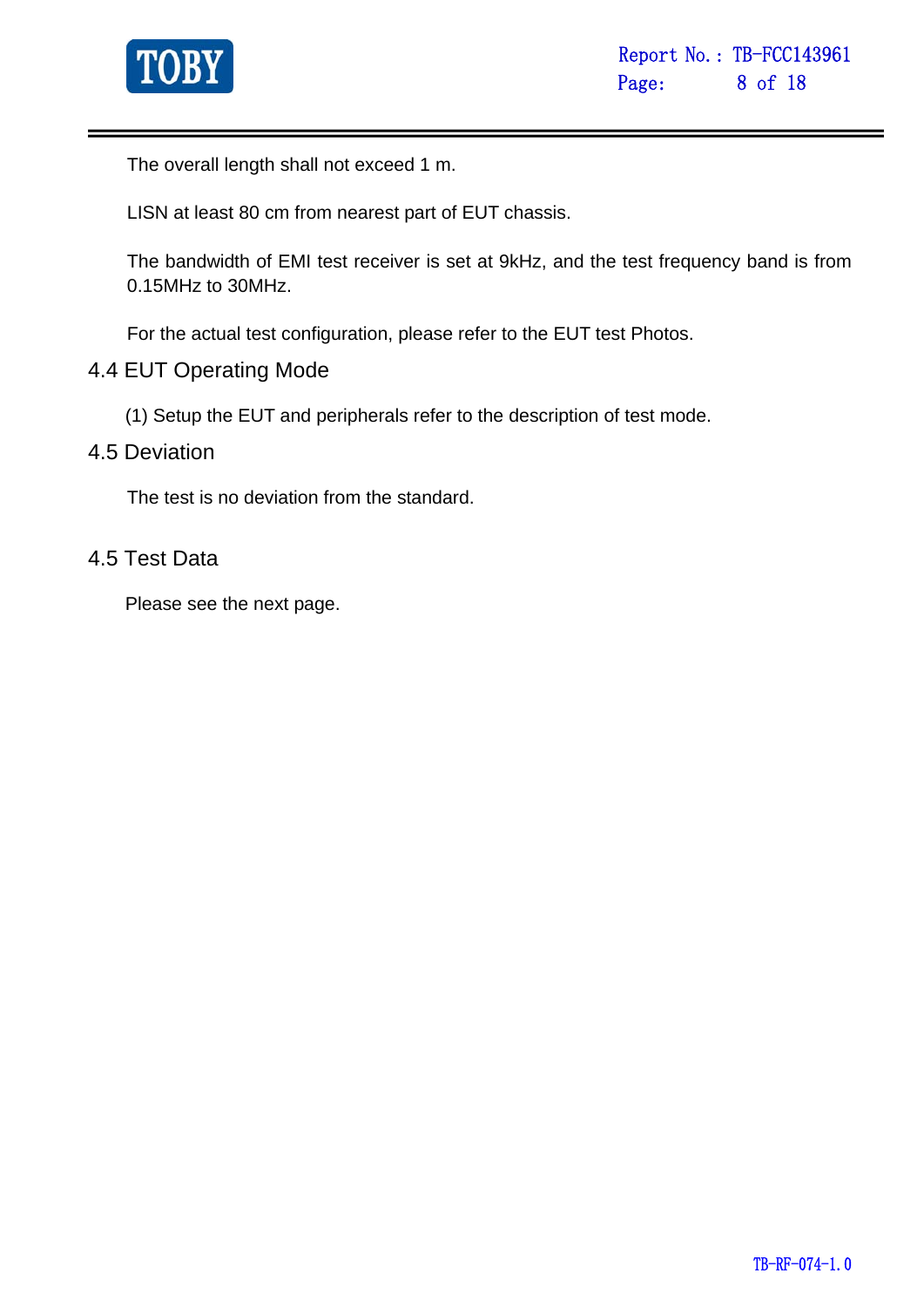

The overall length shall not exceed 1 m.

LISN at least 80 cm from nearest part of EUT chassis.

The bandwidth of EMI test receiver is set at 9kHz, and the test frequency band is from 0.15MHz to 30MHz.

For the actual test configuration, please refer to the EUT test Photos.

### 4.4 EUT Operating Mode

(1) Setup the EUT and peripherals refer to the description of test mode.

#### 4.5 Deviation

The test is no deviation from the standard.

#### 4.5 Test Data

Please see the next page.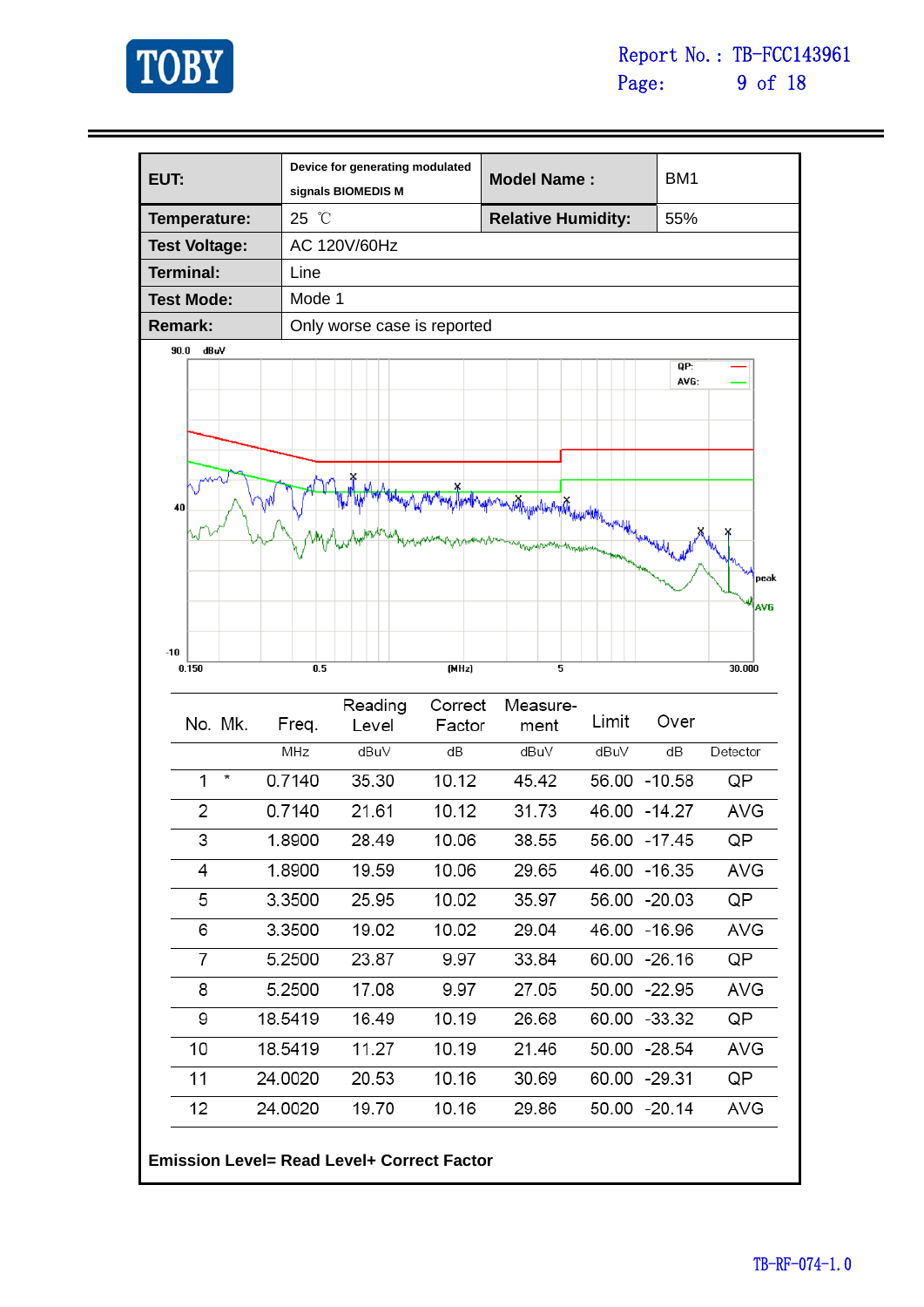

| EUT:                 |         | Device for generating modulated<br>signals BIOMEDIS M |                   | <b>Model Name:</b>        |              | BM <sub>1</sub> |                    |
|----------------------|---------|-------------------------------------------------------|-------------------|---------------------------|--------------|-----------------|--------------------|
| Temperature:         | 25 °C   |                                                       |                   | <b>Relative Humidity:</b> |              | 55%             |                    |
| <b>Test Voltage:</b> |         | AC 120V/60Hz                                          |                   |                           |              |                 |                    |
| <b>Terminal:</b>     | Line    |                                                       |                   |                           |              |                 |                    |
| <b>Test Mode:</b>    | Mode 1  |                                                       |                   |                           |              |                 |                    |
| <b>Remark:</b>       |         | Only worse case is reported                           |                   |                           |              |                 |                    |
| 90.0<br>dBuV         |         |                                                       |                   |                           |              | QP:             |                    |
| 40                   |         |                                                       |                   | wath prophitical          |              | AVG:            | peak<br><b>AVG</b> |
| $-10$<br>0.150       | 0.5     |                                                       | (MHz)             | 5                         |              |                 | 30.000             |
| No. Mk.              | Freq.   | Reading<br>Level                                      | Correct<br>Factor | Measure-<br>ment          | Limit        | Over            |                    |
|                      | MHz     | dBu∨                                                  | dB                | dBuV                      | dBuV         | dB              | Detector           |
| ₩<br>1               | 0.7140  | 35.30                                                 | 10.12             | 45.42                     | 56.00        | $-10.58$        | QP                 |
| 2                    | 0.7140  | 21.61                                                 | 10.12             | 31.73                     | 46.00 -14.27 |                 | <b>AVG</b>         |
| 3                    | 1.8900  | 28.49                                                 | 10.06             | 38.55                     | 56.00 -17.45 |                 | QP                 |
| 4                    | 1.8900  | 19.59                                                 | 10.06             | 29.65                     | 46.00 -16.35 |                 | AVG                |
| 5                    | 3.3500  | 25.95                                                 | 10.02             | 35.97                     | 56.00 -20.03 |                 | QP                 |
| 6                    | 3.3500  | 19.02                                                 | 10.02             | 29.04                     | 46.00 -16.96 |                 | AVG                |
| 7                    | 5.2500  | 23.87                                                 | 9.97              | 33.84                     | 60.00 -26.16 |                 | QP                 |
| 8                    | 5.2500  | 17.08                                                 | 9.97              | 27.05                     | 50.00 -22.95 |                 | AVG                |
| 9                    | 18.5419 | 16.49                                                 | 10.19             | 26.68                     | 60.00 -33.32 |                 | QP                 |
| 10                   | 18.5419 | 11.27                                                 | 10.19             | 21.46                     | 50.00 -28.54 |                 | AVG                |
| 11                   | 24.0020 | 20.53                                                 | 10.16             | 30.69                     | 60.00 -29.31 |                 | QP                 |
|                      |         | 19.70                                                 | 10.16             | 29.86                     | 50.00 -20.14 |                 | AVG                |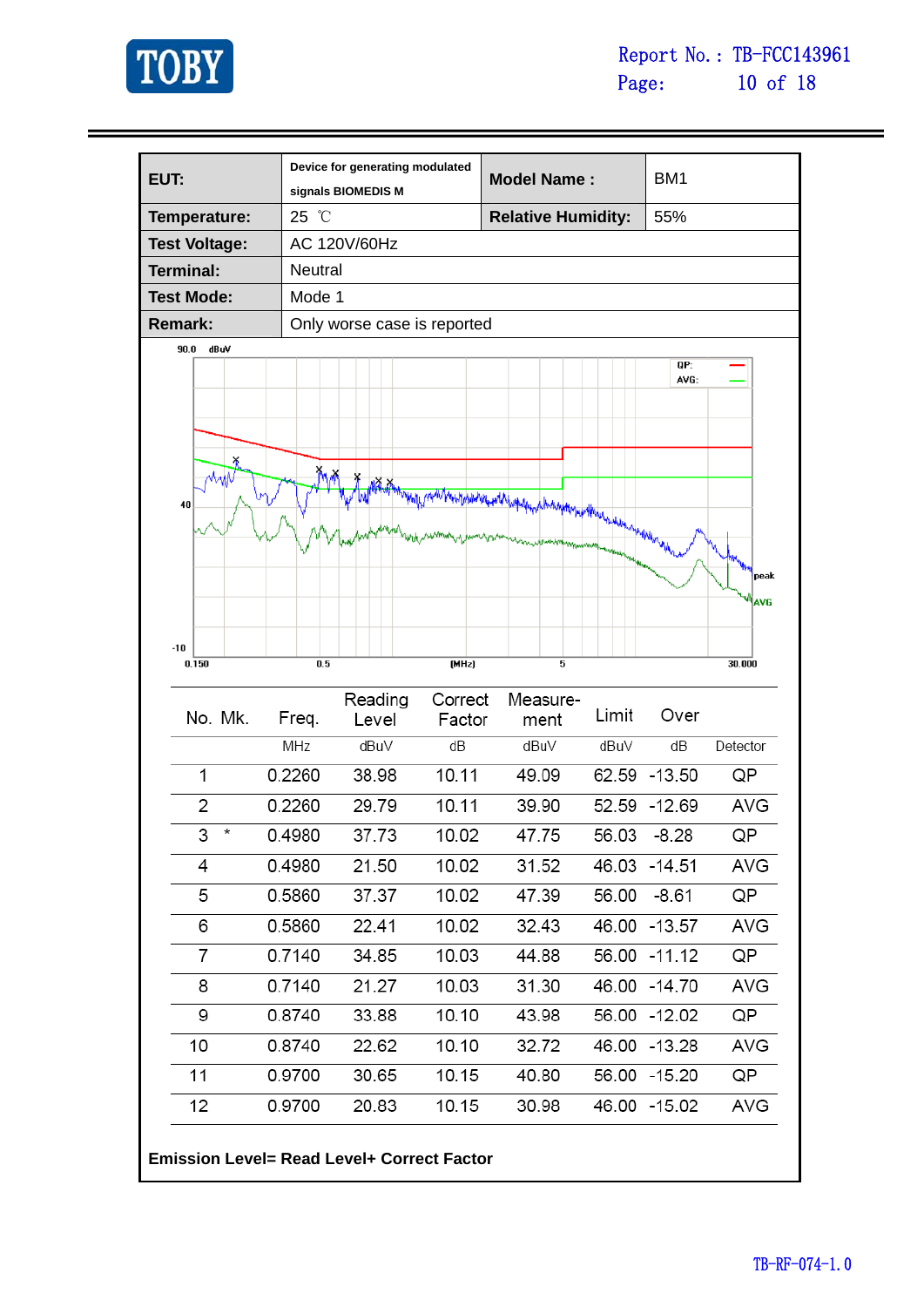

| EUT:                 |                | Device for generating modulated |         | <b>Model Name:</b>        |       | BM <sub>1</sub> |            |
|----------------------|----------------|---------------------------------|---------|---------------------------|-------|-----------------|------------|
|                      |                | signals BIOMEDIS M              |         |                           |       |                 |            |
| Temperature:         | 25 °C          |                                 |         | <b>Relative Humidity:</b> |       | 55%             |            |
| <b>Test Voltage:</b> |                | AC 120V/60Hz                    |         |                           |       |                 |            |
| <b>Terminal:</b>     | <b>Neutral</b> |                                 |         |                           |       |                 |            |
| <b>Test Mode:</b>    | Mode 1         |                                 |         |                           |       |                 |            |
| <b>Remark:</b>       |                | Only worse case is reported     |         |                           |       |                 |            |
| 90.0<br>dBuV         |                |                                 |         |                           |       | QP:             |            |
|                      |                |                                 |         |                           |       | AVG:            |            |
|                      |                |                                 |         |                           |       |                 |            |
|                      |                |                                 |         |                           |       |                 |            |
| ¥                    |                |                                 |         |                           |       |                 |            |
| 40                   |                |                                 |         |                           |       |                 |            |
|                      |                |                                 |         |                           |       |                 |            |
|                      |                |                                 |         |                           |       |                 |            |
|                      |                |                                 |         |                           |       |                 | peak       |
|                      |                |                                 |         |                           |       |                 | <b>AVG</b> |
| $-10$                |                |                                 |         |                           |       |                 |            |
| 0.150                | 0.5            |                                 | (MHz)   | 5                         |       |                 | 30.000     |
|                      |                | Reading                         | Correct | Measure-                  |       |                 |            |
| No. Mk.              | Freq.          | Level                           | Factor  | ment                      | Limit | Over            |            |
|                      | MHz            | dBuV                            | dB      | dBuV                      | dBuV  | dB              | Detector   |
| 1                    | 0.2260         | 38.98                           | 10.11   | 49.09                     |       | 62.59 -13.50    | QP         |
| 2                    | 0.2260         | 29.79                           | 10.11   | 39.90                     |       | 52.59 - 12.69   | <b>AVG</b> |
| $\star$<br>3         | 0.4980         | 37.73                           | 10.02   | 47.75                     | 56.03 | $-8.28$         | QP         |
| 4                    | 0.4980         | 21.50                           | 10.02   | 31.52                     |       | 46.03 -14.51    | AVG        |
| 5                    | 0.5860         | 37.37                           | 10.02   | 47.39                     | 56.00 | $-8.61$         | QP         |
| 6                    | 0.5860         | 22.41                           | 10.02   | 32.43                     |       | 46.00 -13.57    | AVG        |
| 7                    | 0.7140         | 34.85                           | 10.03   | 44.88                     | 56.00 | $-11.12$        | QP         |
| 8                    | 0.7140         | 21.27                           | 10.03   | 31.30                     |       | 46.00 -14.70    | AVG        |
| 9                    | 0.8740         | 33.88                           | 10.10   | 43.98                     |       | 56.00 -12.02    | QP         |
|                      |                |                                 |         |                           |       |                 |            |
| 10                   | 0.8740         | 22.62                           | 10.10   | 32.72                     |       | 46.00 -13.28    | AVG        |
| 11                   | 0.9700         | 30.65                           | 10.15   | 40.80                     |       | 56.00 -15.20    | QP         |
| 12                   | 0.9700         | 20.83                           | 10.15   | 30.98                     |       | 46.00 -15.02    | AVG        |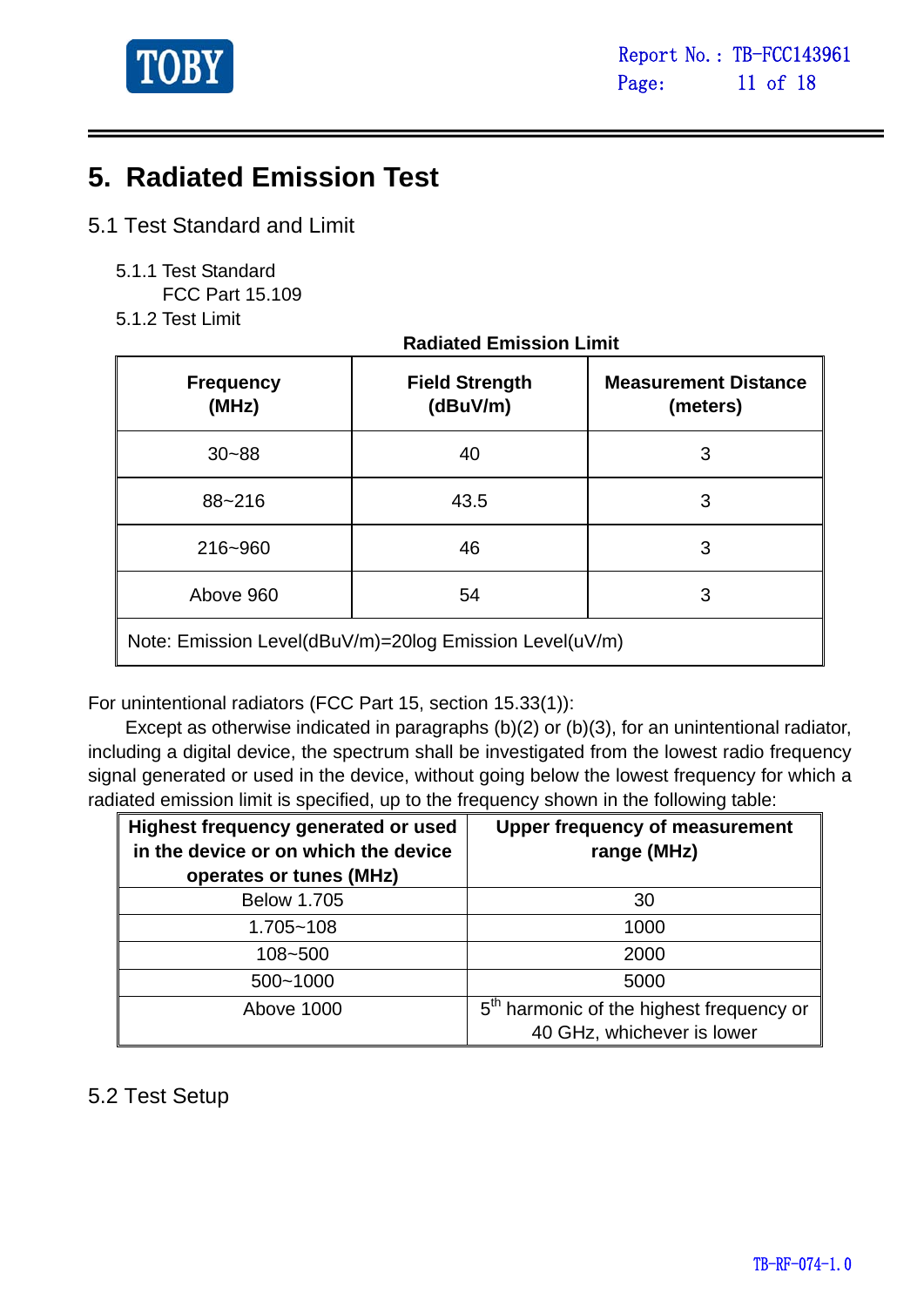

# **5. Radiated Emission Test**

- 5.1 Test Standard and Limit
	- 5.1.1 Test Standard
	- FCC Part 15.109
	- 5.1.2 Test Limit

| <b>Frequency</b><br>(MHz)                               | <b>Field Strength</b><br>(dBuV/m) | <b>Measurement Distance</b><br>(meters) |  |  |  |
|---------------------------------------------------------|-----------------------------------|-----------------------------------------|--|--|--|
| $30 - 88$                                               | 40                                | 3                                       |  |  |  |
| 88~216                                                  | 43.5                              | 3                                       |  |  |  |
| 216~960                                                 | 46                                | 3                                       |  |  |  |
| Above 960                                               | 54                                | 3                                       |  |  |  |
| Note: Emission Level(dBuV/m)=20log Emission Level(uV/m) |                                   |                                         |  |  |  |

 **Radiated Emission Limit** 

For unintentional radiators (FCC Part 15, section 15.33(1)):

Except as otherwise indicated in paragraphs (b)(2) or (b)(3), for an unintentional radiator, including a digital device, the spectrum shall be investigated from the lowest radio frequency signal generated or used in the device, without going below the lowest frequency for which a radiated emission limit is specified, up to the frequency shown in the following table:

| Highest frequency generated or used<br>in the device or on which the device<br>operates or tunes (MHz) | <b>Upper frequency of measurement</b><br>range (MHz)                               |
|--------------------------------------------------------------------------------------------------------|------------------------------------------------------------------------------------|
| <b>Below 1.705</b>                                                                                     | 30                                                                                 |
| 1.705~108                                                                                              | 1000                                                                               |
| 108~500                                                                                                | 2000                                                                               |
| 500~1000                                                                                               | 5000                                                                               |
| Above 1000                                                                                             | 5 <sup>th</sup> harmonic of the highest frequency or<br>40 GHz, whichever is lower |

### 5.2 Test Setup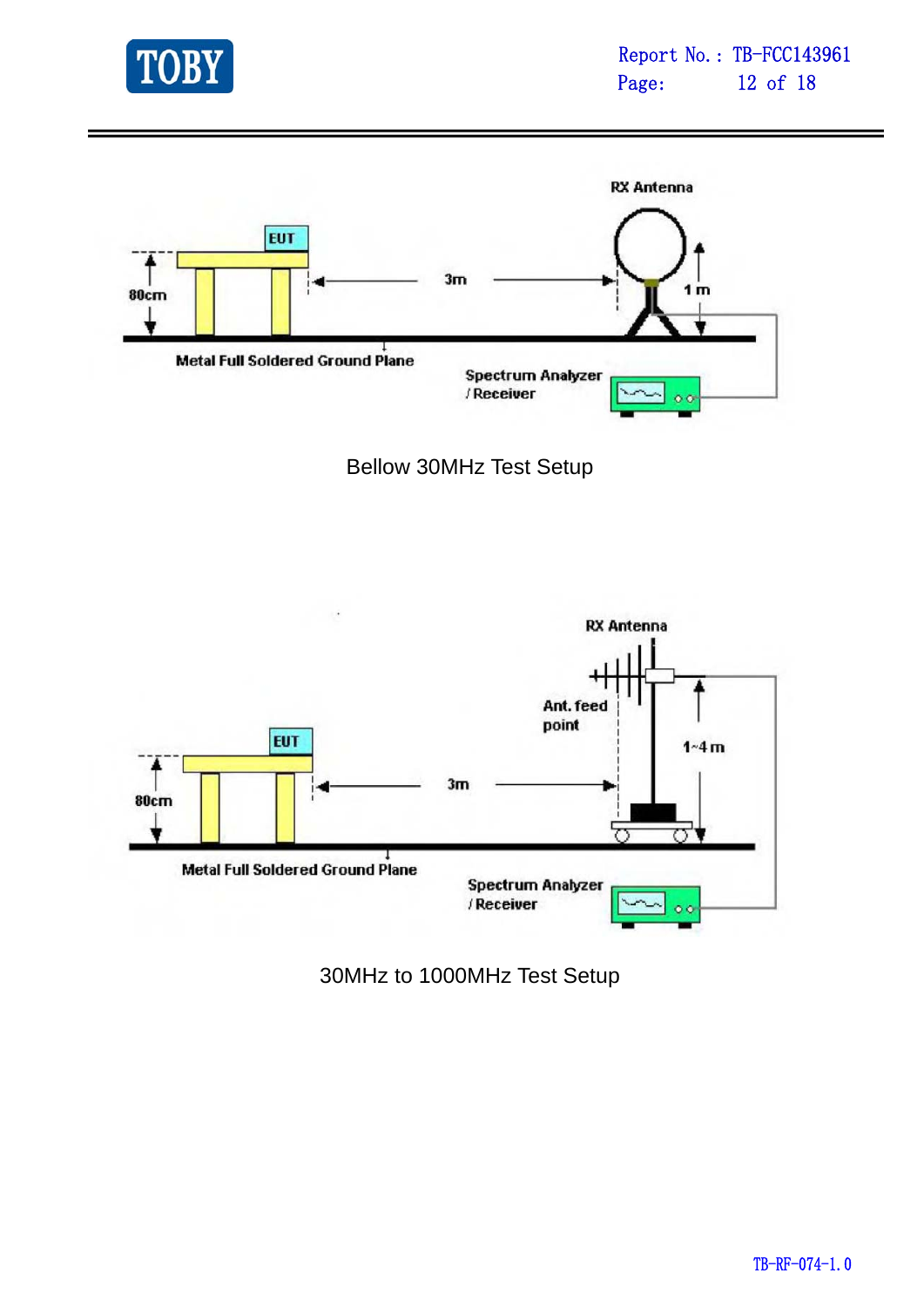







30MHz to 1000MHz Test Setup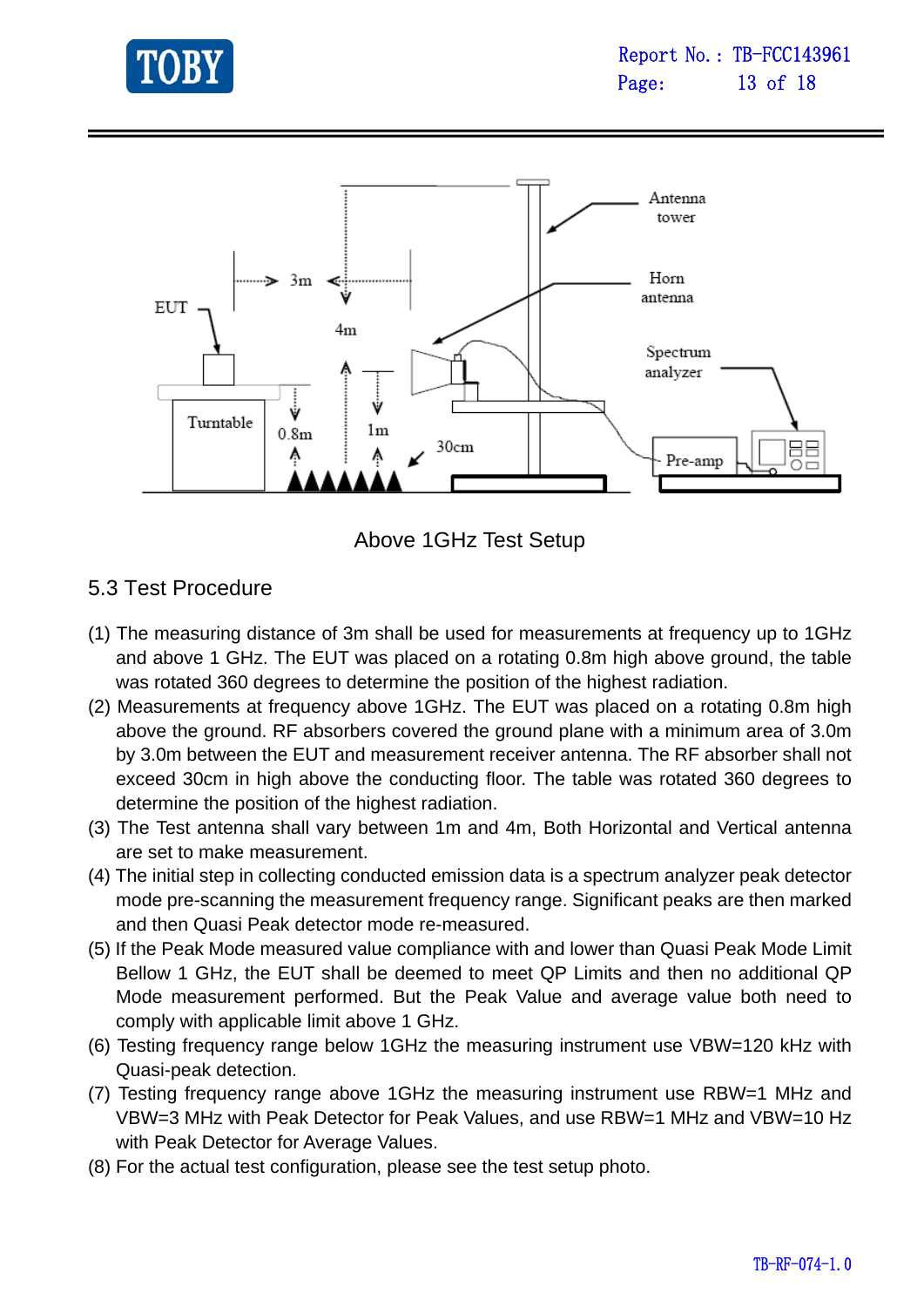



Above 1GHz Test Setup

### 5.3 Test Procedure

- (1) The measuring distance of 3m shall be used for measurements at frequency up to 1GHz and above 1 GHz. The EUT was placed on a rotating 0.8m high above ground, the table was rotated 360 degrees to determine the position of the highest radiation.
- (2) Measurements at frequency above 1GHz. The EUT was placed on a rotating 0.8m high above the ground. RF absorbers covered the ground plane with a minimum area of 3.0m by 3.0m between the EUT and measurement receiver antenna. The RF absorber shall not exceed 30cm in high above the conducting floor. The table was rotated 360 degrees to determine the position of the highest radiation.
- (3) The Test antenna shall vary between 1m and 4m, Both Horizontal and Vertical antenna are set to make measurement.
- (4) The initial step in collecting conducted emission data is a spectrum analyzer peak detector mode pre-scanning the measurement frequency range. Significant peaks are then marked and then Quasi Peak detector mode re-measured.
- (5) If the Peak Mode measured value compliance with and lower than Quasi Peak Mode Limit Bellow 1 GHz, the EUT shall be deemed to meet QP Limits and then no additional QP Mode measurement performed. But the Peak Value and average value both need to comply with applicable limit above 1 GHz.
- (6) Testing frequency range below 1GHz the measuring instrument use VBW=120 kHz with Quasi-peak detection.
- (7) Testing frequency range above 1GHz the measuring instrument use RBW=1 MHz and VBW=3 MHz with Peak Detector for Peak Values, and use RBW=1 MHz and VBW=10 Hz with Peak Detector for Average Values.
- (8) For the actual test configuration, please see the test setup photo.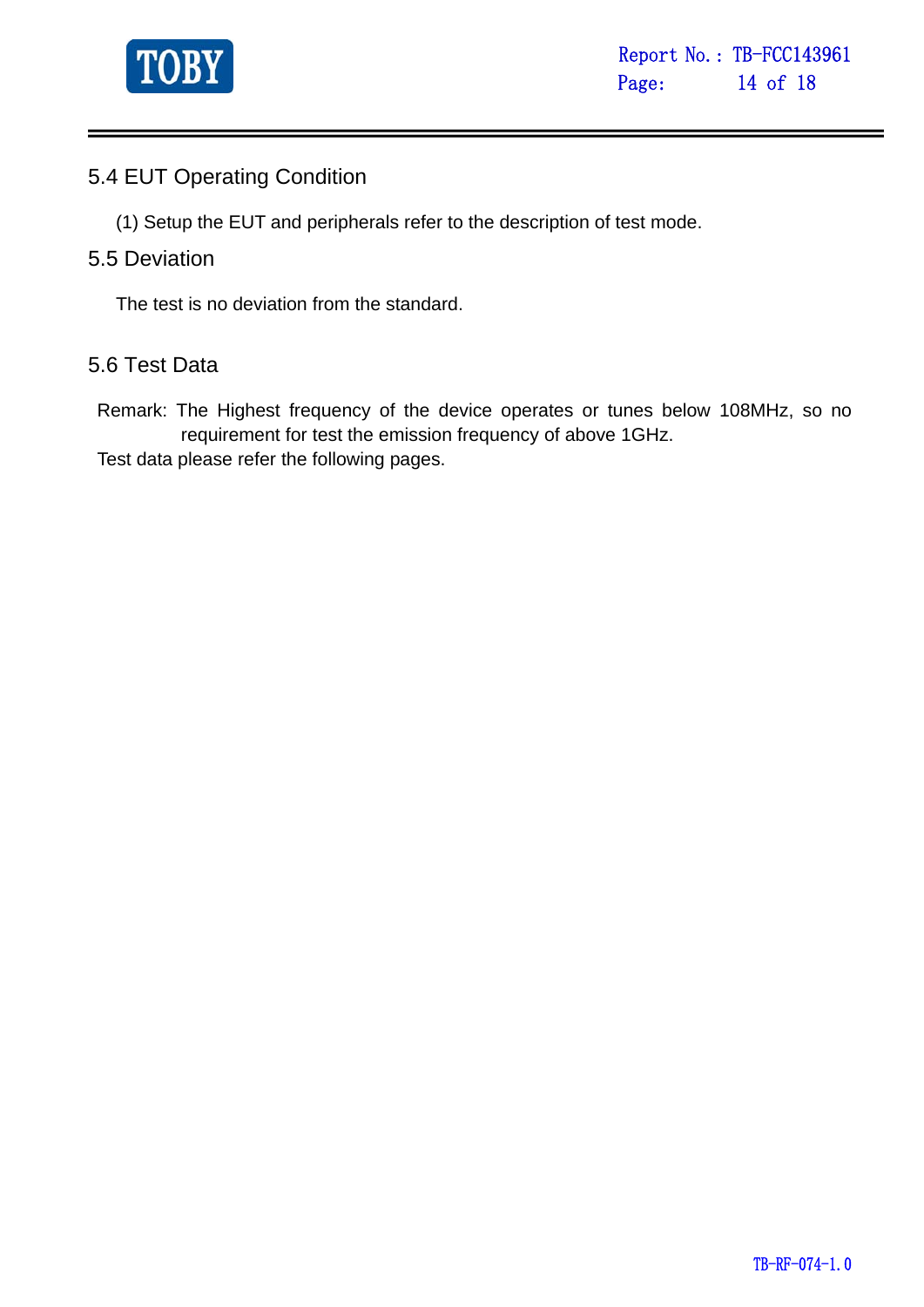

### 5.4 EUT Operating Condition

(1) Setup the EUT and peripherals refer to the description of test mode.

### 5.5 Deviation

The test is no deviation from the standard.

### 5.6 Test Data

Remark: The Highest frequency of the device operates or tunes below 108MHz, so no requirement for test the emission frequency of above 1GHz.

Test data please refer the following pages.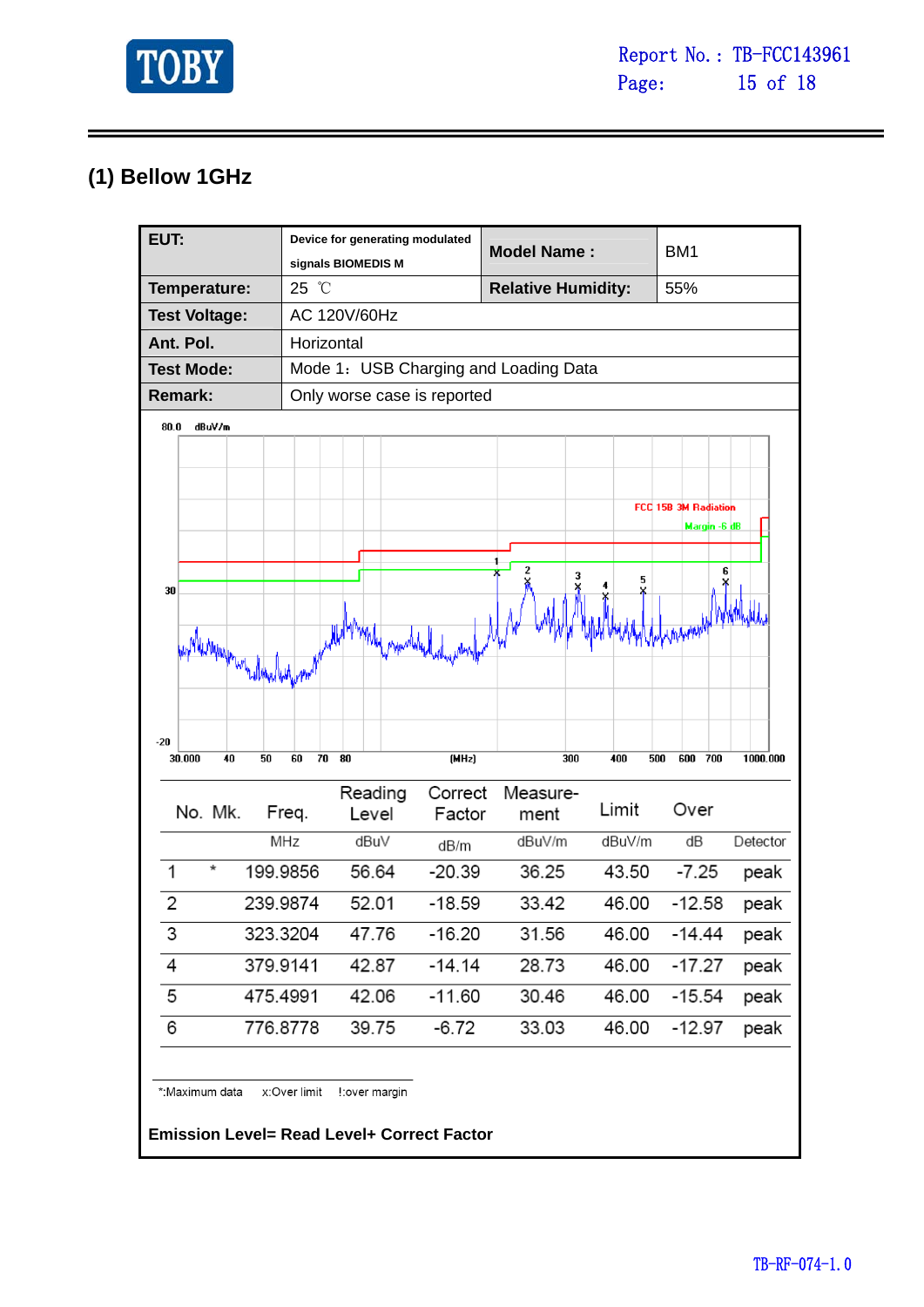

### **(1) Bellow 1GHz**

| EUT:                               |              | Device for generating modulated       |                           |                    |            |                               |  |
|------------------------------------|--------------|---------------------------------------|---------------------------|--------------------|------------|-------------------------------|--|
|                                    |              | signals BIOMEDIS M                    |                           | <b>Model Name:</b> |            | BM <sub>1</sub>               |  |
| Temperature:                       | 25 °C        |                                       | <b>Relative Humidity:</b> |                    | 55%        |                               |  |
| <b>Test Voltage:</b>               | AC 120V/60Hz |                                       |                           |                    |            |                               |  |
| Ant. Pol.                          | Horizontal   |                                       |                           |                    |            |                               |  |
| <b>Test Mode:</b>                  |              | Mode 1: USB Charging and Loading Data |                           |                    |            |                               |  |
| <b>Remark:</b>                     |              | Only worse case is reported           |                           |                    |            |                               |  |
| 80.0<br>dBuV/m                     |              |                                       |                           |                    |            |                               |  |
|                                    |              |                                       |                           |                    |            |                               |  |
|                                    |              |                                       |                           |                    |            |                               |  |
|                                    |              |                                       |                           |                    |            | FCC 15B 3M Radiation          |  |
|                                    |              |                                       |                           |                    |            | Margin -6 dB                  |  |
|                                    |              |                                       |                           |                    |            |                               |  |
| 30                                 |              |                                       |                           |                    | 5          | 6                             |  |
|                                    |              |                                       |                           |                    |            |                               |  |
|                                    |              |                                       |                           |                    |            |                               |  |
| philip Manufacture of Manufacturer |              |                                       |                           |                    |            |                               |  |
|                                    |              |                                       |                           |                    |            |                               |  |
|                                    |              |                                       |                           |                    |            |                               |  |
| $-20$                              |              |                                       |                           |                    |            |                               |  |
| 30.000<br>40<br>50                 | 60<br>70     | 80                                    | (MHz)                     |                    | 300<br>400 | 500<br>600<br>700<br>1000.000 |  |
|                                    |              | Reading                               | Correct                   | Measure-           |            |                               |  |
| No. Mk.                            | Freq.        | Level                                 | Factor                    | ment               | Limit      | Over                          |  |
|                                    | MHz          | dBuV                                  | dB/m                      | dBuV/m             | dBuV/m     | dB<br>Detector                |  |
| *<br>1                             | 199.9856     | 56.64                                 | $-20.39$                  | 36.25              | 43.50      | $-7.25$<br>peak               |  |
| 2                                  | 239.9874     | 52.01                                 | $-18.59$                  | 33.42              | 46.00      | $-12.58$<br>peak              |  |
| 3                                  | 323.3204     | 47.76                                 | $-16.20$                  | 31.56              | 46.00      | $-14.44$<br>peak              |  |
| 379.9141<br>4                      |              | 42.87                                 | $-14.14$                  | 28.73              | 46.00      | $-17.27$<br>peak              |  |
| 5<br>475.4991                      |              | 42.06                                 | $-11.60$                  | 30.46              | 46.00      | $-15.54$<br>peak              |  |
| 6                                  | 776.8778     | 39.75                                 | $-6.72$                   | 33.03              | 46.00      | $-12.97$<br>peak              |  |
|                                    |              |                                       |                           |                    |            |                               |  |
| *.Maximum data                     | x:Over limit | !: over margin                        |                           |                    |            |                               |  |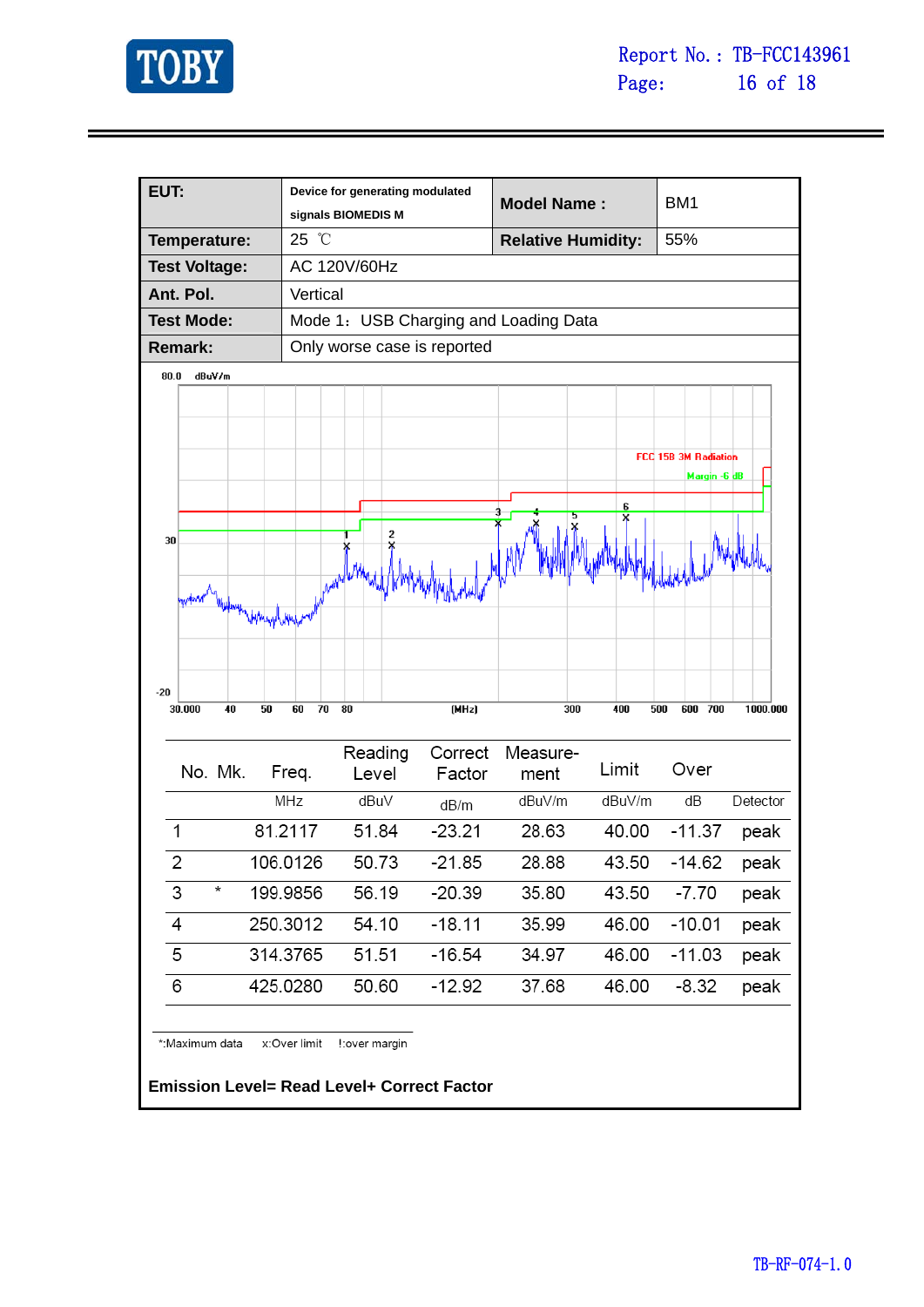

| EUT:                     |                    | Device for generating modulated       |                           |                               |
|--------------------------|--------------------|---------------------------------------|---------------------------|-------------------------------|
|                          | signals BIOMEDIS M |                                       | <b>Model Name:</b>        | BM <sub>1</sub>               |
| Temperature:             | 25 °C              |                                       | <b>Relative Humidity:</b> | 55%                           |
| <b>Test Voltage:</b>     | AC 120V/60Hz       |                                       |                           |                               |
| Ant. Pol.                | Vertical           |                                       |                           |                               |
| <b>Test Mode:</b>        |                    | Mode 1: USB Charging and Loading Data |                           |                               |
| <b>Remark:</b>           |                    | Only worse case is reported           |                           |                               |
| 80.0<br>dBuV/m           |                    |                                       |                           |                               |
|                          |                    |                                       |                           |                               |
|                          |                    |                                       |                           |                               |
|                          |                    |                                       |                           | FCC 15B 3M Radiation          |
|                          |                    |                                       |                           | Margin -6 dB                  |
|                          |                    |                                       | 6<br>3                    |                               |
| 30                       |                    | 2                                     |                           |                               |
|                          |                    |                                       |                           |                               |
|                          |                    | Ж                                     |                           |                               |
| wtwar'<br>Wydmyn Haright |                    |                                       |                           |                               |
|                          |                    |                                       |                           |                               |
|                          |                    |                                       |                           |                               |
| $-20$                    |                    |                                       |                           |                               |
| 30.000<br>40<br>50       | 70<br>80<br>60     | (MHz)                                 | 300<br>400                | 700<br>500<br>600<br>1000.000 |
|                          |                    |                                       |                           |                               |
| No. Mk.                  | Freq.              | Reading<br>Correct<br>Factor<br>Level | Measure-<br>Limit<br>ment | Over                          |
|                          | MHz                | dBu∨                                  | dBuV/m<br>dBuV/m          | dB<br>Detector                |
|                          |                    | dB/m<br>51.84                         |                           |                               |
| 1                        | 81.2117            | $-23.21$                              | 28.63<br>40.00            | $-11.37$<br>peak              |
| 2                        | 106.0126           | 50.73<br>-21.85                       | 28.88<br>43.50            | $-14.62$<br>peak              |
| 3<br>×                   | 199.9856           | 56.19<br>$-20.39$                     | 35.80<br>43.50            | $-7.70$<br>peak               |
| 4                        | 250.3012           | 54.10<br>$-18.11$                     | 35.99<br>46.00            | $-10.01$<br>peak              |
| 5                        | 314.3765           | 51.51<br>$-16.54$                     | 34.97<br>46.00            | $-11.03$<br>peak              |
| 6                        | 425.0280           | 50.60<br>$-12.92$                     | 37.68<br>46.00            | $-8.32$<br>peak               |
|                          |                    |                                       |                           |                               |
| *.Maximum data           | x:Over limit       | ! over margin                         |                           |                               |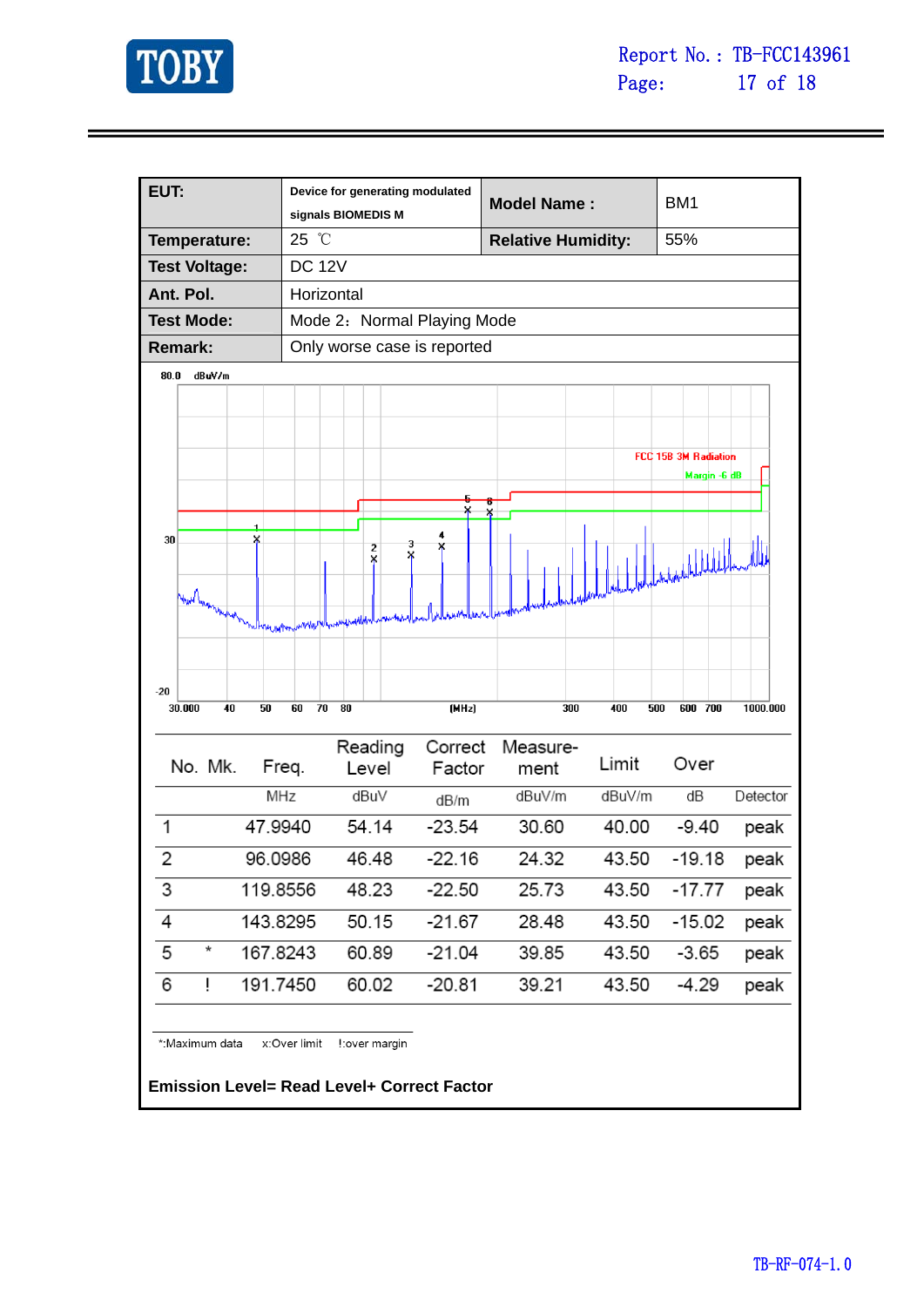

| EUT:                   | Device for generating modulated |          |                           |                               |
|------------------------|---------------------------------|----------|---------------------------|-------------------------------|
|                        | signals BIOMEDIS M              |          | <b>Model Name:</b>        | BM <sub>1</sub>               |
| Temperature:           | 25 °C                           |          | <b>Relative Humidity:</b> | 55%                           |
| <b>Test Voltage:</b>   | <b>DC 12V</b>                   |          |                           |                               |
| Ant. Pol.              | Horizontal                      |          |                           |                               |
| <b>Test Mode:</b>      | Mode 2: Normal Playing Mode     |          |                           |                               |
| <b>Remark:</b>         | Only worse case is reported     |          |                           |                               |
| 80.0<br>dBuV/m         |                                 |          |                           |                               |
|                        |                                 |          |                           |                               |
|                        |                                 |          |                           |                               |
|                        |                                 |          |                           | FCC 15B 3M Radiation          |
|                        |                                 |          |                           | Margin -6 dB                  |
|                        |                                 |          |                           |                               |
| 30                     |                                 | 4        |                           |                               |
|                        | 3<br>2<br>×<br>¥                | X        |                           | With Antoine Addition         |
|                        |                                 |          |                           |                               |
| New York margin of the |                                 |          |                           |                               |
| punppin                | لسلامهم                         |          |                           |                               |
|                        |                                 |          |                           |                               |
| $-20$                  |                                 |          |                           |                               |
| 30.000<br>40<br>50     | 70<br>80<br>60                  | (MHz)    | 300<br>400                | 500<br>700<br>600<br>1000.000 |
|                        | Reading                         | Correct  | Measure-                  |                               |
| No. Mk.                | Freq.<br>Level                  | Factor   | Limit<br>ment             | Over                          |
|                        | MHz<br>dBuV                     | dB/m     | dBuV/m<br>dBuV/m          | dB<br>Detector                |
| 47.9940                | 54.14                           | $-23.54$ | 30.60<br>40.00            | $-9.40$<br>peak               |
| 2<br>96.0986           | 46.48                           | $-22.16$ | 24.32<br>43.50            | $-19.18$<br>peak              |
| 3<br>119.8556          | 48.23                           | $-22.50$ | 25.73<br>43.50            | $-17.77$<br>peak              |
| 143.8295<br>4          | 50.15                           | $-21.67$ | 28.48<br>43.50            | $-15.02$<br>peak              |
| ×<br>167.8243<br>5     | 60.89                           | $-21.04$ | 39.85<br>43.50            | $-3.65$<br>peak               |
| 191.7450<br>İ<br>6     | 60.02                           | $-20.81$ | 39.21<br>43.50            | $-4.29$<br>peak               |
|                        |                                 |          |                           |                               |
| *.Maximum data         | x:Over limit<br>! over margin   |          |                           |                               |